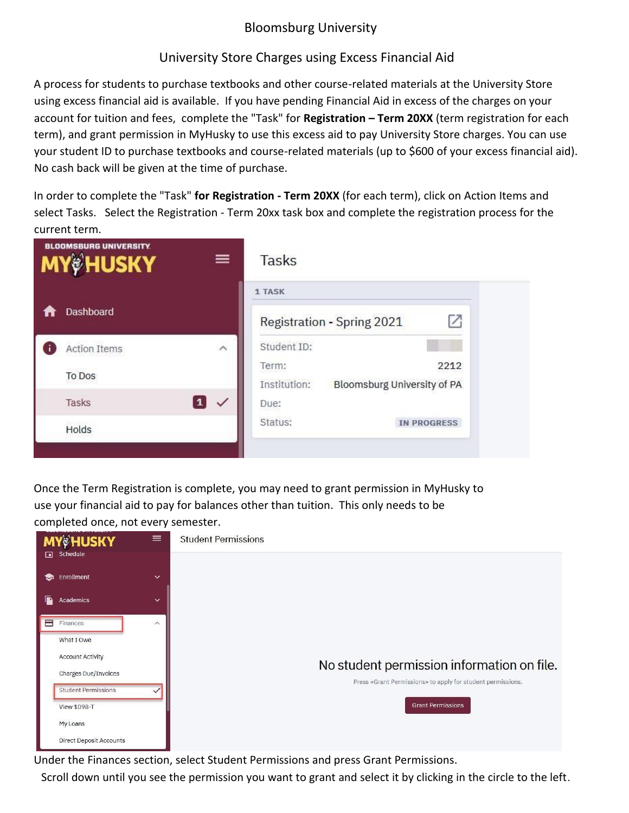## Bloomsburg University

## University Store Charges using Excess Financial Aid

A process for students to purchase textbooks and other course-related materials at the University Store using excess financial aid is available. If you have pending Financial Aid in excess of the charges on your account for tuition and fees, complete the "Task" for **Registration – Term 20XX** (term registration for each term), and grant permission in MyHusky to use this excess aid to pay University Store charges. You can use your student ID to purchase textbooks and course-related materials (up to \$600 of your excess financial aid). No cash back will be given at the time of purchase.

In order to complete the "Task" **for Registration - Term 20XX** (for each term), click on Action Items and select Tasks. Select the Registration - Term 20xx task box and complete the registration process for the current term.

| <b>BLOOMSBURG UNIVERSITY.</b><br><b>MY&amp;HUSKY</b><br>$\equiv$ |                     |              | Tasks                                                        |  |
|------------------------------------------------------------------|---------------------|--------------|--------------------------------------------------------------|--|
|                                                                  |                     |              | 1 TASK                                                       |  |
|                                                                  | Dashboard           |              | 7<br>Registration - Spring 2021                              |  |
|                                                                  | <b>Action Items</b> | $\wedge$     | Student ID:                                                  |  |
|                                                                  | <b>To Dos</b>       |              | 2212<br>Term:<br>Institution:<br>Bloomsburg University of PA |  |
|                                                                  | Tasks               | $\checkmark$ | Due:                                                         |  |
|                                                                  | Holds               |              | Status:<br><b>IN PROGRESS</b>                                |  |
|                                                                  |                     |              |                                                              |  |

Once the Term Registration is complete, you may need to grant permission in MyHusky to use your financial aid to pay for balances other than tuition. This only needs to be [completed once, not every semester.](http://intranet.bloomu.edu/documents/myhusky/registration.pdf)

| <b>MY&amp;HUSKY</b>            | $\equiv$                | <b>Student Permissions</b>                                  |
|--------------------------------|-------------------------|-------------------------------------------------------------|
| $\Box$ Schedule                |                         |                                                             |
| Enrollment<br>☜                | $\checkmark$            |                                                             |
| Academics<br>D                 | $\checkmark$            |                                                             |
| Finances<br>A                  | $\widehat{\phantom{a}}$ |                                                             |
| What I Owe                     |                         |                                                             |
| <b>Account Activity</b>        |                         | No student permission information on file.                  |
| Charges Due/Invoices           |                         | Press «Grant Permissions» to apply for student permissions. |
| <b>Student Permissions</b>     |                         |                                                             |
| <b>View 1098-T</b>             |                         | <b>Grant Permissions</b>                                    |
| My Loans                       |                         |                                                             |
| <b>Direct Deposit Accounts</b> |                         |                                                             |

Under the Finances section, select Student Permissions and press Grant Permissions.

Scroll down until you see the permission you want to grant and select it by clicking in the circle to the left.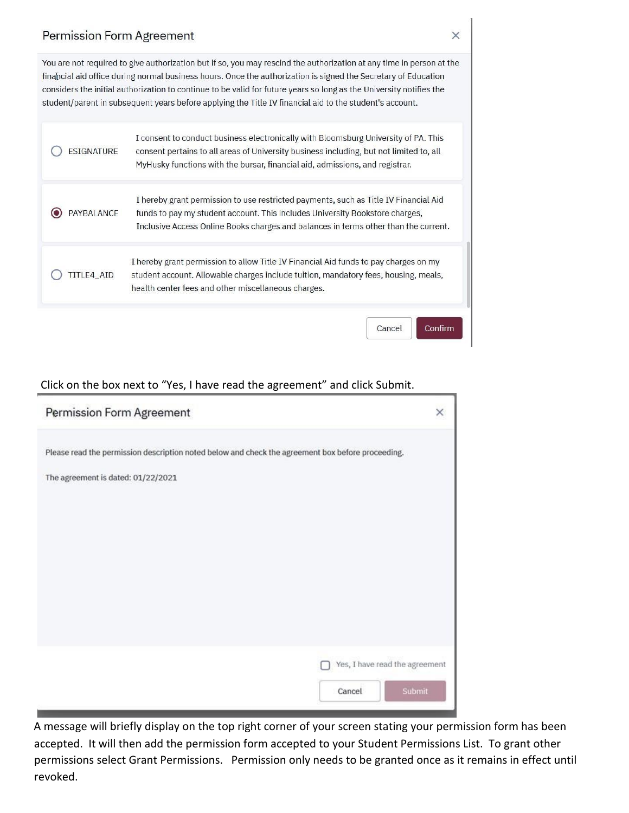## Permission Form Agreement

You are not required to give authorization but if so, you may rescind the authorization at any time in person at the financial aid office during normal business hours. Once the authorization is signed the Secretary of Education considers the initial authorization to continue to be valid for future years so long as the University notifies the student/parent in subsequent years before applying the Title IV financial aid to the student's account.

| ESIGNATURE        | I consent to conduct business electronically with Bloomsburg University of PA. This<br>consent pertains to all areas of University business including, but not limited to, all<br>MyHusky functions with the bursar, financial aid, admissions, and registrar. |  |  |
|-------------------|----------------------------------------------------------------------------------------------------------------------------------------------------------------------------------------------------------------------------------------------------------------|--|--|
| <b>PAYBALANCE</b> | I hereby grant permission to use restricted payments, such as Title IV Financial Aid<br>funds to pay my student account. This includes University Bookstore charges,<br>Inclusive Access Online Books charges and balances in terms other than the current.    |  |  |
| <b>ITLE4 AID</b>  | I hereby grant permission to allow Title IV Financial Aid funds to pay charges on my<br>student account. Allowable charges include tuition, mandatory fees, housing, meals,<br>health center fees and other miscellaneous charges.                             |  |  |
|                   | Cancel<br>Contirm                                                                                                                                                                                                                                              |  |  |

## Click on the box next to "Yes, I have read the agreement" and click Submit.

| Permission Form Agreement                                                                                                               | × |
|-----------------------------------------------------------------------------------------------------------------------------------------|---|
| Please read the permission description noted below and check the agreement box before proceeding.<br>The agreement is dated: 01/22/2021 |   |
| Yes, I have read the agreement<br>Submit<br>Cancel                                                                                      |   |

A message will briefly display on the top right corner of your screen stating your permission form has been accepted. It will then add the permission form accepted to your Student Permissions List. To grant other permissions select Grant Permissions. Permission only needs to be granted once as it remains in effect until revoked.